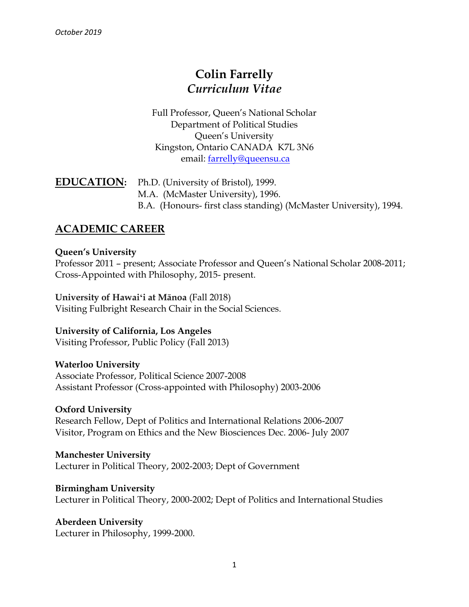# **Colin Farrelly** *Curriculum Vitae*

Full Professor, Queen's National Scholar Department of Political Studies Queen's University Kingston, Ontario CANADA K7L 3N6 email: [farrelly@queensu.ca](mailto:farrelly@queensu.ca)

### **EDUCATION:** Ph.D. (University of Bristol), 1999. M.A. (McMaster University), 1996. B.A. (Honours- first class standing) (McMaster University), 1994.

### **ACADEMIC CAREER**

### **Queen's University**

Professor 2011 – present; Associate Professor and Queen's National Scholar 2008-2011; Cross-Appointed with Philosophy, 2015- present.

**University of Hawaiʻi at Mānoa** (Fall 2018) Visiting Fulbright Research Chair in the Social Sciences.

### **University of California, Los Angeles**

Visiting Professor, Public Policy (Fall 2013)

**Waterloo University**  Associate Professor, Political Science 2007-2008 Assistant Professor (Cross-appointed with Philosophy) 2003-2006

### **Oxford University**

Research Fellow, Dept of Politics and International Relations 2006-2007 Visitor, Program on Ethics and the New Biosciences Dec. 2006- July 2007

**Manchester University**  Lecturer in Political Theory, 2002-2003; Dept of Government

**Birmingham University**  Lecturer in Political Theory, 2000-2002; Dept of Politics and International Studies

**Aberdeen University**  Lecturer in Philosophy, 1999-2000.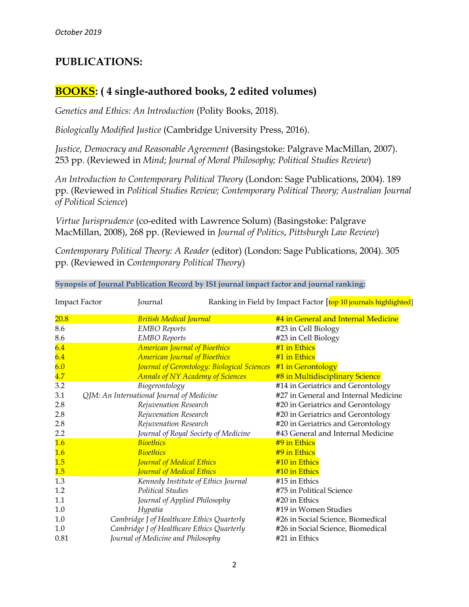### **PUBLICATIONS:**

### **BOOKS: ( 4 single-authored books, 2 edited volumes)**

*Genetics and Ethics: An Introduction* (Polity Books, 2018).

*Biologically Modified Justice* (Cambridge University Press, 2016).

*Justice, Democracy and Reasonable Agreement* (Basingstoke: Palgrave MacMillan, 2007). 253 pp. (Reviewed in *Mind*; *Journal of Moral Philosophy; Political Studies Review*)

*An Introduction to Contemporary Political Theory* (London: Sage Publications, 2004). 189 pp. (Reviewed in *Political Studies Review; Contemporary Political Theory; Australian Journal of Political Science*)

*Virtue Jurisprudence* (co-edited with Lawrence Solum) (Basingstoke: Palgrave MacMillan, 2008), 268 pp. (Reviewed in *Journal of Politics*, *Pittsburgh Law Review*)

*Contemporary Political Theory: A Reader* (editor) (London: Sage Publications, 2004). 305 pp. (Reviewed in *Contemporary Political Theory*)

| <b>Impact Factor</b> |  | Journal                                                       | Ranking in Field by Impact Factor [top 10 journals highlighted] |
|----------------------|--|---------------------------------------------------------------|-----------------------------------------------------------------|
| 20.8                 |  | <b>British Medical Journal</b>                                | #4 in General and Internal Medicine                             |
| 8.6                  |  | <b>EMBO</b> Reports                                           | #23 in Cell Biology                                             |
| 8.6                  |  | <b>EMBO</b> Reports                                           | #23 in Cell Biology                                             |
| 6.4                  |  | <b>American Journal of Bioethics</b>                          | #1 in Ethics                                                    |
| 6.4                  |  | <b>American Journal of Bioethics</b>                          | #1 in Ethics                                                    |
| 6.0                  |  | Journal of Gerontology: Biological Sciences #1 in Gerontology |                                                                 |
| 4.7                  |  | <b>Annals of NY Academy of Sciences</b>                       | #8 in Multidisciplinary Science                                 |
| 3.2                  |  | Biogerontology                                                | #14 in Geriatrics and Gerontology                               |
| 3.1                  |  | QJM: An International Journal of Medicine                     | #27 in General and Internal Medicine                            |
| 2.8                  |  | Rejuvenation Research                                         | #20 in Geriatrics and Gerontology                               |
| 2.8                  |  | Rejuvenation Research                                         | #20 in Geriatrics and Gerontology                               |
| 2.8                  |  | Rejuvenation Research                                         | #20 in Geriatrics and Gerontology                               |
| 2.2                  |  | Journal of Royal Society of Medicine                          | #43 General and Internal Medicine                               |
| 1.6                  |  | <b>Bioethics</b>                                              | #9 in Ethics                                                    |
| 1.6                  |  | <b>Bioethics</b>                                              | #9 in Ethics                                                    |
| 1.5                  |  | <b>Journal of Medical Ethics</b>                              | #10 in Ethics                                                   |
| 1.5                  |  | Journal of Medical Ethics                                     | #10 in Ethics                                                   |
| 1.3                  |  | Kennedy Institute of Ethics Journal                           | #15 in Ethics                                                   |
| 1.2                  |  | <b>Political Studies</b>                                      | #75 in Political Science                                        |
| 1.1                  |  | Journal of Applied Philosophy                                 | #20 in Ethics                                                   |
| 1.0                  |  | Hypatia                                                       | #19 in Women Studies                                            |
| 1.0                  |  | Cambridge J of Healthcare Ethics Quarterly                    | #26 in Social Science, Biomedical                               |
| 1.0                  |  | Cambridge J of Healthcare Ethics Quarterly                    | #26 in Social Science, Biomedical                               |
| 0.81                 |  | Journal of Medicine and Philosophy                            | #21 in Ethics                                                   |

#### **Synopsis of Journal Publication Record by ISI journal impact factor and journal ranking:**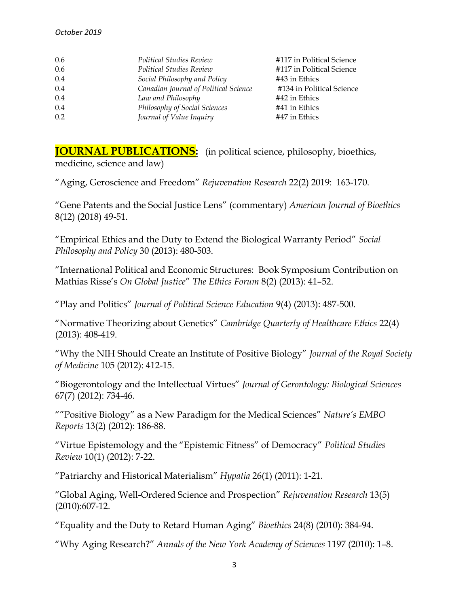| 0.6 | Political Studies Review              | #117 in Political Science |
|-----|---------------------------------------|---------------------------|
| 0.6 | Political Studies Review              | #117 in Political Science |
| 0.4 | Social Philosophy and Policy          | #43 in Ethics             |
| 0.4 | Canadian Journal of Political Science | #134 in Political Science |
| 0.4 | Law and Philosophy                    | #42 in Ethics             |
| 0.4 | Philosophy of Social Sciences         | #41 in Ethics             |
| 0.2 | Journal of Value Inquiry              | #47 in Ethics             |

**JOURNAL PUBLICATIONS:** (in political science, philosophy, bioethics, medicine, science and law)

"Aging, Geroscience and Freedom" *Rejuvenation Research* 22(2) 2019: 163-170.

"Gene Patents and the Social Justice Lens" (commentary) *American Journal of Bioethics*  8(12) (2018) 49-51.

"Empirical Ethics and the Duty to Extend the Biological Warranty Period" *Social Philosophy and Policy* 30 (2013): 480-503.

"International Political and Economic Structures: Book Symposium Contribution on Mathias Risse's *On Global Justice*" *The Ethics Forum* 8(2) (2013): 41–52.

"Play and Politics" *Journal of Political Science Education* 9(4) (2013): 487-500.

"Normative Theorizing about Genetics" *Cambridge Quarterly of Healthcare Ethics* 22(4) (2013): 408-419.

"Why the NIH Should Create an Institute of Positive Biology" *Journal of the Royal Society of Medicine* 105 (2012): 412-15.

"Biogerontology and the Intellectual Virtues" *Journal of Gerontology: Biological Sciences*  67(7) (2012): 734-46.

""Positive Biology" as a New Paradigm for the Medical Sciences" *Nature's EMBO Reports* 13(2) (2012): 186-88.

"Virtue Epistemology and the "Epistemic Fitness" of Democracy" *Political Studies Review* 10(1) (2012): 7-22.

"Patriarchy and Historical Materialism" *Hypatia* 26(1) (2011): 1-21.

"Global Aging, Well-Ordered Science and Prospection" *Rejuvenation Research* 13(5) (2010):607-12.

"Equality and the Duty to Retard Human Aging" *Bioethics* 24(8) (2010): 384-94.

"Why Aging Research?" *Annals of the New York Academy of Sciences* 1197 (2010): 1–8.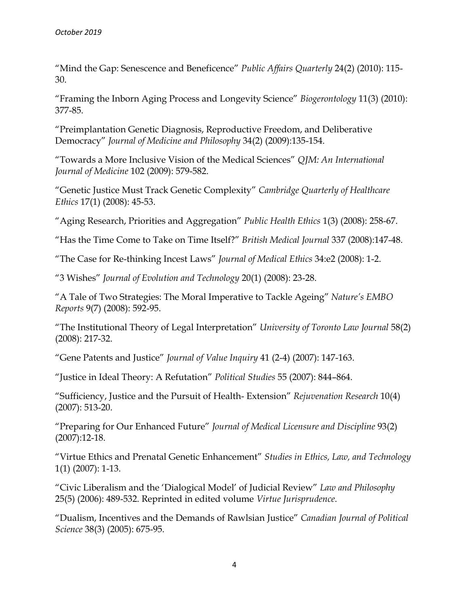"Mind the Gap: Senescence and Beneficence" *Public Affairs Quarterly* 24(2) (2010): 115- 30.

"Framing the Inborn Aging Process and Longevity Science" *Biogerontology* 11(3) (2010): 377-85.

"Preimplantation Genetic Diagnosis, Reproductive Freedom, and Deliberative Democracy" *Journal of Medicine and Philosophy* 34(2) (2009):135-154.

"Towards a More Inclusive Vision of the Medical Sciences" *QJM: An International Journal of Medicine* 102 (2009): 579-582.

"Genetic Justice Must Track Genetic Complexity" *Cambridge Quarterly of Healthcare Ethics* 17(1) (2008): 45-53.

"Aging Research, Priorities and Aggregation" *Public Health Ethics* 1(3) (2008): 258-67.

"Has the Time Come to Take on Time Itself?" *British Medical Journal* 337 (2008):147-48.

"The Case for Re-thinking Incest Laws" *Journal of Medical Ethics* 34:e2 (2008): 1-2.

"3 Wishes" *Journal of Evolution and Technology* 20(1) (2008): 23-28.

"A Tale of Two Strategies: The Moral Imperative to Tackle Ageing" *Nature's EMBO Reports* 9(7) (2008): 592-95.

"The Institutional Theory of Legal Interpretation" *University of Toronto Law Journal* 58(2) (2008): 217-32.

"Gene Patents and Justice" *Journal of Value Inquiry* 41 (2-4) (2007): 147-163.

"Justice in Ideal Theory: A Refutation" *Political Studies* 55 (2007): 844–864.

"Sufficiency, Justice and the Pursuit of Health- Extension" *Rejuvenation Research* 10(4) (2007): 513-20.

"Preparing for Our Enhanced Future" *Journal of Medical Licensure and Discipline* 93(2) (2007):12-18.

"Virtue Ethics and Prenatal Genetic Enhancement" *Studies in Ethics, Law, and Technology*  1(1) (2007): 1-13.

"Civic Liberalism and the 'Dialogical Model' of Judicial Review" *Law and Philosophy*  25(5) (2006): 489-532. Reprinted in edited volume *Virtue Jurisprudence*.

"Dualism, Incentives and the Demands of Rawlsian Justice" *Canadian Journal of Political Science* 38(3) (2005): 675-95.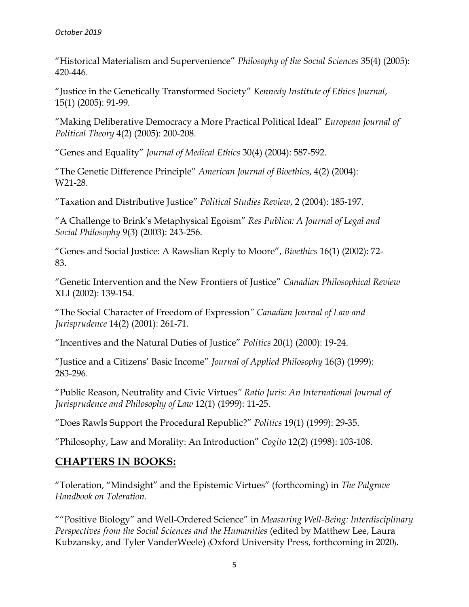"Historical Materialism and Supervenience" *Philosophy of the Social Sciences* 35(4) (2005): 420-446.

"Justice in the Genetically Transformed Society" *Kennedy Institute of Ethics Journal*, 15(1) (2005): 91-99*.* 

"Making Deliberative Democracy a More Practical Political Ideal" *European Journal of Political Theory* 4(2) (2005): 200-208.

"Genes and Equality" *Journal of Medical Ethics* 30(4) (2004): 587-592.

"The Genetic Difference Principle" *American Journal of Bioethics*, 4(2) (2004): W21-28.

"Taxation and Distributive Justice" *Political Studies Review*, 2 (2004): 185-197.

"A Challenge to Brink's Metaphysical Egoism" *Res Publica: A Journal of Legal and Social Philosophy* 9(3) (2003): 243-256.

"Genes and Social Justice: A Rawslian Reply to Moore", *Bioethics* 16(1) (2002): 72- 83.

"Genetic Intervention and the New Frontiers of Justice" *Canadian Philosophical Review*  XLI (2002): 139-154.

"The Social Character of Freedom of Expression*" Canadian Journal of Law and Jurisprudence* 14(2) (2001): 261-71.

"Incentives and the Natural Duties of Justice" *Politics* 20(1) (2000): 19-24.

"Justice and a Citizens' Basic Income" *Journal of Applied Philosophy* 16(3) (1999): 283-296.

"Public Reason, Neutrality and Civic Virtues*" Ratio Juris: An International Journal of Jurisprudence and Philosophy of Law* 12(1) (1999): 11-25.

"Does Rawls Support the Procedural Republic?" *Politics* 19(1) (1999): 29-35.

"Philosophy, Law and Morality: An Introduction" *Cogito* 12(2) (1998): 103-108.

### **CHAPTERS IN BOOKS:**

"Toleration, "Mindsight" and the Epistemic Virtues" (forthcoming) in *The Palgrave Handbook on Toleration*.

""Positive Biology" and Well-Ordered Science" in *Measuring Well-Being: Interdisciplinary Perspectives from the Social Sciences and the Humanities* (edited by Matthew Lee, Laura Kubzansky, and Tyler VanderWeele) (Oxford University Press, forthcoming in 2020).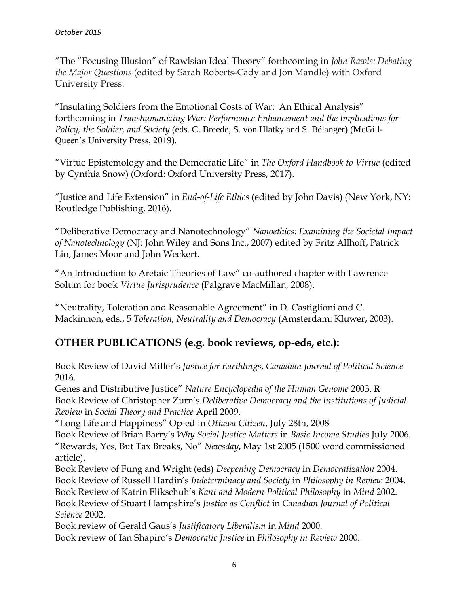"The "Focusing Illusion" of Rawlsian Ideal Theory" forthcoming in *John Rawls: Debating the Major Questions* (edited by Sarah Roberts-Cady and Jon Mandle) with Oxford University Press.

"Insulating Soldiers from the Emotional Costs of War: An Ethical Analysis" forthcoming in *Transhumanizing War: Performance Enhancement and the Implications for Policy, the Soldier, and Society* (eds. C. Breede, S. von Hlatky and S. Bélanger) (McGill-Queen's University Press, 2019).

"Virtue Epistemology and the Democratic Life" in *The Oxford Handbook to Virtue* (edited by Cynthia Snow) (Oxford: Oxford University Press, 2017).

"Justice and Life Extension" in *End-of-Life Ethics* (edited by John Davis) (New York, NY: Routledge Publishing, 2016).

"Deliberative Democracy and Nanotechnology" *Nanoethics: Examining the Societal Impact of Nanotechnology* (NJ: John Wiley and Sons Inc., 2007) edited by Fritz Allhoff, Patrick Lin, James Moor and John Weckert.

"An Introduction to Aretaic Theories of Law" co-authored chapter with Lawrence Solum for book *Virtue Jurisprudence* (Palgrave MacMillan, 2008).

"Neutrality, Toleration and Reasonable Agreement" in D. Castiglioni and C. Mackinnon, eds., 5 *Toleration, Neutrality and Democracy* (Amsterdam: Kluwer, 2003).

## **OTHER PUBLICATIONS (e.g. book reviews, op-eds, etc.):**

Book Review of David Miller's *Justice for Earthlings*, *Canadian Journal of Political Science* 2016.

Genes and Distributive Justice" *Nature Encyclopedia of the Human Genome* 2003. **R**  Book Review of Christopher Zurn's *Deliberative Democracy and the Institutions of Judicial Review* in *Social Theory and Practice* April 2009.

"Long Life and Happiness" Op-ed in *Ottawa Citizen*, July 28th, 2008

Book Review of Brian Barry's *Why Social Justice Matters* in *Basic Income Studies* July 2006. "Rewards, Yes, But Tax Breaks, No" *Newsday*, May 1st 2005 (1500 word commissioned article).

Book Review of Fung and Wright (eds) *Deepening Democracy* in *Democratization* 2004. Book Review of Russell Hardin's *Indeterminacy and Society* in *Philosophy in Review* 2004. Book Review of Katrin Flikschuh's *Kant and Modern Political Philosophy* in *Mind* 2002. Book Review of Stuart Hampshire's *Justice as Conflict* in *Canadian Journal of Political Science* 2002.

Book review of Gerald Gaus's *Justificatory Liberalism* in *Mind* 2000. Book review of Ian Shapiro's *Democratic Justice* in *Philosophy in Review* 2000.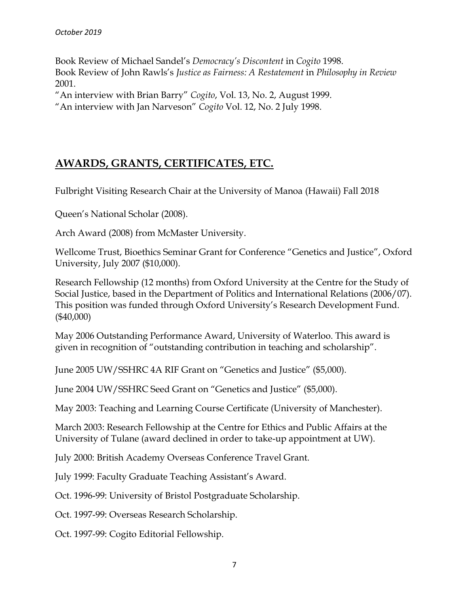Book Review of Michael Sandel's *Democracy's Discontent* in *Cogito* 1998. Book Review of John Rawls's *Justice as Fairness: A Restatement* in *Philosophy in Review*  2001.

"An interview with Brian Barry" *Cogito*, Vol. 13, No. 2, August 1999.

"An interview with Jan Narveson" *Cogito* Vol. 12, No. 2 July 1998.

### **AWARDS, GRANTS, CERTIFICATES, ETC.**

Fulbright Visiting Research Chair at the University of Manoa (Hawaii) Fall 2018

Queen's National Scholar (2008).

Arch Award (2008) from McMaster University.

Wellcome Trust, Bioethics Seminar Grant for Conference "Genetics and Justice", Oxford University, July 2007 (\$10,000).

Research Fellowship (12 months) from Oxford University at the Centre for the Study of Social Justice, based in the Department of Politics and International Relations (2006/07). This position was funded through Oxford University's Research Development Fund. (\$40,000)

May 2006 Outstanding Performance Award, University of Waterloo. This award is given in recognition of "outstanding contribution in teaching and scholarship".

June 2005 UW/SSHRC 4A RIF Grant on "Genetics and Justice" (\$5,000).

June 2004 UW/SSHRC Seed Grant on "Genetics and Justice" (\$5,000).

May 2003: Teaching and Learning Course Certificate (University of Manchester).

March 2003: Research Fellowship at the Centre for Ethics and Public Affairs at the University of Tulane (award declined in order to take-up appointment at UW).

July 2000: British Academy Overseas Conference Travel Grant.

July 1999: Faculty Graduate Teaching Assistant's Award.

Oct. 1996-99: University of Bristol Postgraduate Scholarship.

Oct. 1997-99: Overseas Research Scholarship.

Oct. 1997-99: Cogito Editorial Fellowship.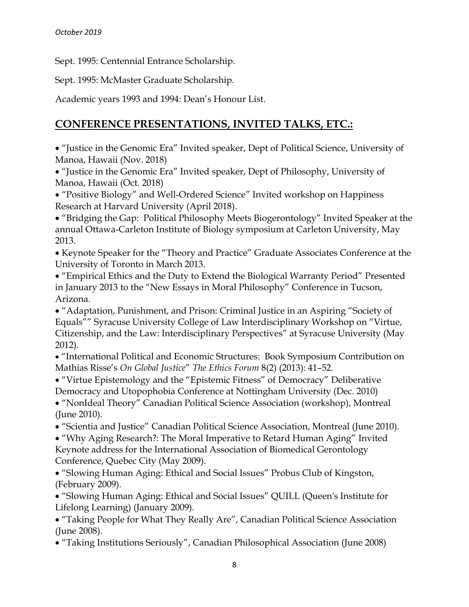Sept. 1995: Centennial Entrance Scholarship.

Sept. 1995: McMaster Graduate Scholarship.

Academic years 1993 and 1994: Dean's Honour List.

### **CONFERENCE PRESENTATIONS, INVITED TALKS, ETC.:**

• "Justice in the Genomic Era" Invited speaker, Dept of Political Science, University of Manoa, Hawaii (Nov. 2018)

• "Justice in the Genomic Era" Invited speaker, Dept of Philosophy, University of Manoa, Hawaii (Oct. 2018)

• "Positive Biology" and Well-Ordered Science" Invited workshop on Happiness Research at Harvard University (April 2018).

• "Bridging the Gap: Political Philosophy Meets Biogerontology" Invited Speaker at the annual Ottawa-Carleton Institute of Biology symposium at Carleton University, May 2013.

• Keynote Speaker for the "Theory and Practice" Graduate Associates Conference at the University of Toronto in March 2013.

• "Empirical Ethics and the Duty to Extend the Biological Warranty Period" Presented in January 2013 to the "New Essays in Moral Philosophy" Conference in Tucson, Arizona.

• "Adaptation, Punishment, and Prison: Criminal Justice in an Aspiring "Society of Equals"" Syracuse University College of Law Interdisciplinary Workshop on "Virtue, Citizenship, and the Law: Interdisciplinary Perspectives" at Syracuse University (May 2012).

• "International Political and Economic Structures: Book Symposium Contribution on Mathias Risse's *On Global Justice*" *The Ethics Forum* 8(2) (2013): 41–52.

• "Virtue Epistemology and the "Epistemic Fitness" of Democracy" Deliberative Democracy and Utopophobia Conference at Nottingham University (Dec. 2010) • "NonIdeal Theory" Canadian Political Science Association (workshop), Montreal (June 2010).

• "Scientia and Justice" Canadian Political Science Association, Montreal (June 2010).

• "Why Aging Research?: The Moral Imperative to Retard Human Aging" Invited Keynote address for the International Association of Biomedical Gerontology Conference, Quebec City (May 2009).

• "Slowing Human Aging: Ethical and Social Issues" Probus Club of Kingston, (February 2009).

• "Slowing Human Aging: Ethical and Social Issues" QUILL (Queen's Institute for Lifelong Learning) (January 2009).

• "Taking People for What They Really Are", Canadian Political Science Association (June 2008).

• "Taking Institutions Seriously", Canadian Philosophical Association (June 2008)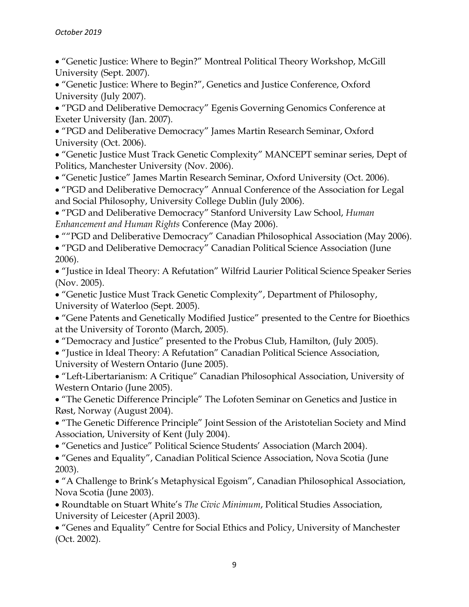• "Genetic Justice: Where to Begin?" Montreal Political Theory Workshop, McGill University (Sept. 2007).

• "Genetic Justice: Where to Begin?", Genetics and Justice Conference, Oxford University (July 2007).

• "PGD and Deliberative Democracy" Egenis Governing Genomics Conference at Exeter University (Jan. 2007).

• "PGD and Deliberative Democracy" James Martin Research Seminar, Oxford University (Oct. 2006).

• "Genetic Justice Must Track Genetic Complexity" MANCEPT seminar series, Dept of Politics, Manchester University (Nov. 2006).

• "Genetic Justice" James Martin Research Seminar, Oxford University (Oct. 2006).

• "PGD and Deliberative Democracy" Annual Conference of the Association for Legal and Social Philosophy, University College Dublin (July 2006).

• "PGD and Deliberative Democracy" Stanford University Law School, *Human Enhancement and Human Rights* Conference (May 2006).

• ""PGD and Deliberative Democracy" Canadian Philosophical Association (May 2006).

• "PGD and Deliberative Democracy" Canadian Political Science Association (June 2006).

• "Justice in Ideal Theory: A Refutation" Wilfrid Laurier Political Science Speaker Series (Nov. 2005).

• "Genetic Justice Must Track Genetic Complexity", Department of Philosophy, University of Waterloo (Sept. 2005).

• "Gene Patents and Genetically Modified Justice" presented to the Centre for Bioethics at the University of Toronto (March, 2005).

• "Democracy and Justice" presented to the Probus Club, Hamilton, (July 2005).

• "Justice in Ideal Theory: A Refutation" Canadian Political Science Association, University of Western Ontario (June 2005).

• "Left-Libertarianism: A Critique" Canadian Philosophical Association, University of Western Ontario (June 2005).

• "The Genetic Difference Principle" The Lofoten Seminar on Genetics and Justice in Røst, Norway (August 2004).

• "The Genetic Difference Principle" Joint Session of the Aristotelian Society and Mind Association, University of Kent (July 2004).

• "Genetics and Justice" Political Science Students' Association (March 2004).

• "Genes and Equality", Canadian Political Science Association, Nova Scotia (June 2003).

• "A Challenge to Brink's Metaphysical Egoism", Canadian Philosophical Association, Nova Scotia (June 2003).

• Roundtable on Stuart White's *The Civic Minimum*, Political Studies Association, University of Leicester (April 2003).

• "Genes and Equality" Centre for Social Ethics and Policy, University of Manchester (Oct. 2002).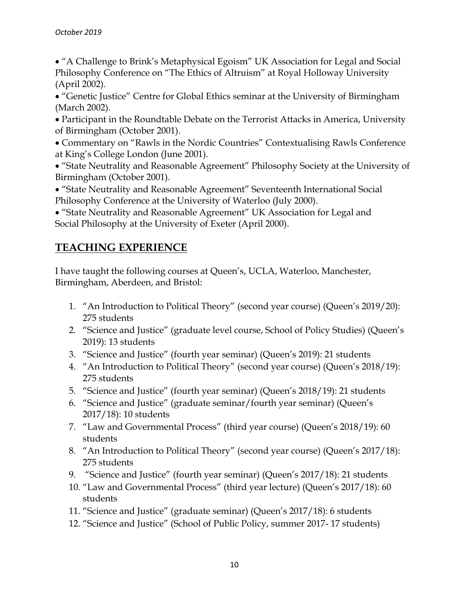• "A Challenge to Brink's Metaphysical Egoism" UK Association for Legal and Social Philosophy Conference on "The Ethics of Altruism" at Royal Holloway University (April 2002).

• "Genetic Justice" Centre for Global Ethics seminar at the University of Birmingham (March 2002).

• Participant in the Roundtable Debate on the Terrorist Attacks in America, University of Birmingham (October 2001).

• Commentary on "Rawls in the Nordic Countries" Contextualising Rawls Conference at King's College London (June 2001).

• "State Neutrality and Reasonable Agreement" Philosophy Society at the University of Birmingham (October 2001).

• "State Neutrality and Reasonable Agreement" Seventeenth International Social Philosophy Conference at the University of Waterloo (July 2000).

• "State Neutrality and Reasonable Agreement" UK Association for Legal and Social Philosophy at the University of Exeter (April 2000).

# **TEACHING EXPERIENCE**

I have taught the following courses at Queen's, UCLA, Waterloo, Manchester, Birmingham, Aberdeen, and Bristol:

- 1. "An Introduction to Political Theory" (second year course) (Queen's 2019/20): 275 students
- 2. "Science and Justice" (graduate level course, School of Policy Studies) (Queen's 2019): 13 students
- 3. "Science and Justice" (fourth year seminar) (Queen's 2019): 21 students
- 4. "An Introduction to Political Theory" (second year course) (Queen's 2018/19): 275 students
- 5. "Science and Justice" (fourth year seminar) (Queen's 2018/19): 21 students
- 6. "Science and Justice" (graduate seminar/fourth year seminar) (Queen's 2017/18): 10 students
- 7. "Law and Governmental Process" (third year course) (Queen's 2018/19): 60 students
- 8. "An Introduction to Political Theory" (second year course) (Queen's 2017/18): 275 students
- 9. "Science and Justice" (fourth year seminar) (Queen's 2017/18): 21 students
- 10. "Law and Governmental Process" (third year lecture) (Queen's 2017/18): 60 students
- 11. "Science and Justice" (graduate seminar) (Queen's 2017/18): 6 students
- 12. "Science and Justice" (School of Public Policy, summer 2017- 17 students)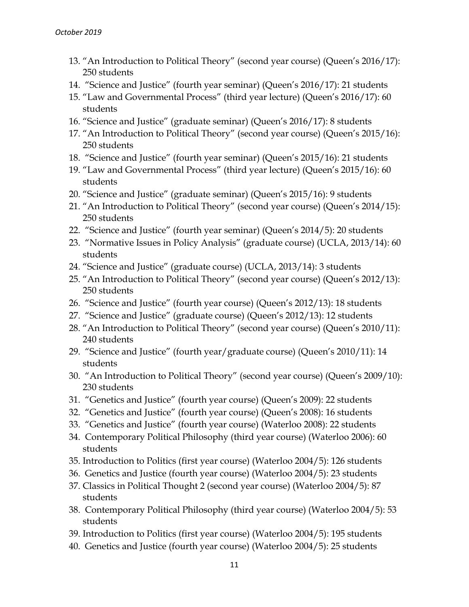- 13. "An Introduction to Political Theory" (second year course) (Queen's 2016/17): 250 students
- 14. "Science and Justice" (fourth year seminar) (Queen's 2016/17): 21 students
- 15. "Law and Governmental Process" (third year lecture) (Queen's 2016/17): 60 students
- 16. "Science and Justice" (graduate seminar) (Queen's 2016/17): 8 students
- 17. "An Introduction to Political Theory" (second year course) (Queen's 2015/16): 250 students
- 18. "Science and Justice" (fourth year seminar) (Queen's 2015/16): 21 students
- 19. "Law and Governmental Process" (third year lecture) (Queen's 2015/16): 60 students
- 20. "Science and Justice" (graduate seminar) (Queen's 2015/16): 9 students
- 21. "An Introduction to Political Theory" (second year course) (Queen's 2014/15): 250 students
- 22. "Science and Justice" (fourth year seminar) (Queen's 2014/5): 20 students
- 23. "Normative Issues in Policy Analysis" (graduate course) (UCLA, 2013/14): 60 students
- 24. "Science and Justice" (graduate course) (UCLA, 2013/14): 3 students
- 25. "An Introduction to Political Theory" (second year course) (Queen's 2012/13): 250 students
- 26. "Science and Justice" (fourth year course) (Queen's 2012/13): 18 students
- 27. "Science and Justice" (graduate course) (Queen's 2012/13): 12 students
- 28. "An Introduction to Political Theory" (second year course) (Queen's 2010/11): 240 students
- 29. "Science and Justice" (fourth year/graduate course) (Queen's 2010/11): 14 students
- 30. "An Introduction to Political Theory" (second year course) (Queen's 2009/10): 230 students
- 31. "Genetics and Justice" (fourth year course) (Queen's 2009): 22 students
- 32. "Genetics and Justice" (fourth year course) (Queen's 2008): 16 students
- 33. "Genetics and Justice" (fourth year course) (Waterloo 2008): 22 students
- 34. Contemporary Political Philosophy (third year course) (Waterloo 2006): 60 students
- 35. Introduction to Politics (first year course) (Waterloo 2004/5): 126 students
- 36. Genetics and Justice (fourth year course) (Waterloo 2004/5): 23 students
- 37. Classics in Political Thought 2 (second year course) (Waterloo 2004/5): 87 students
- 38. Contemporary Political Philosophy (third year course) (Waterloo 2004/5): 53 students
- 39. Introduction to Politics (first year course) (Waterloo 2004/5): 195 students
- 40. Genetics and Justice (fourth year course) (Waterloo 2004/5): 25 students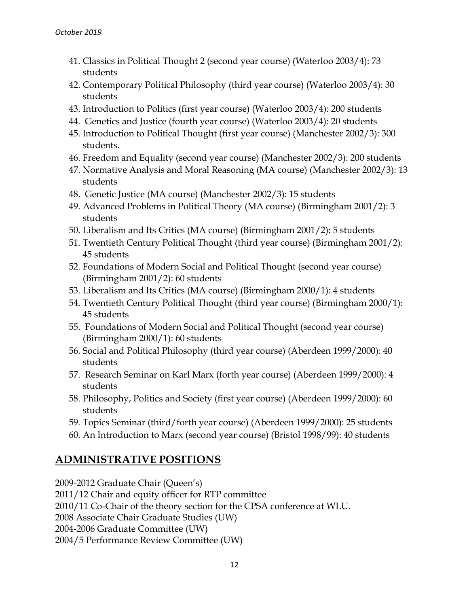- 41. Classics in Political Thought 2 (second year course) (Waterloo 2003/4): 73 students
- 42. Contemporary Political Philosophy (third year course) (Waterloo 2003/4): 30 students
- 43. Introduction to Politics (first year course) (Waterloo 2003/4): 200 students
- 44. Genetics and Justice (fourth year course) (Waterloo 2003/4): 20 students
- 45. Introduction to Political Thought (first year course) (Manchester 2002/3): 300 students.
- 46. Freedom and Equality (second year course) (Manchester 2002/3): 200 students
- 47. Normative Analysis and Moral Reasoning (MA course) (Manchester 2002/3): 13 students
- 48. Genetic Justice (MA course) (Manchester 2002/3): 15 students
- 49. Advanced Problems in Political Theory (MA course) (Birmingham 2001/2): 3 students
- 50. Liberalism and Its Critics (MA course) (Birmingham 2001/2): 5 students
- 51. Twentieth Century Political Thought (third year course) (Birmingham 2001/2): 45 students
- 52. Foundations of Modern Social and Political Thought (second year course) (Birmingham 2001/2): 60 students
- 53. Liberalism and Its Critics (MA course) (Birmingham 2000/1): 4 students
- 54. Twentieth Century Political Thought (third year course) (Birmingham 2000/1): 45 students
- 55. Foundations of Modern Social and Political Thought (second year course) (Birmingham 2000/1): 60 students
- 56. Social and Political Philosophy (third year course) (Aberdeen 1999/2000): 40 students
- 57. Research Seminar on Karl Marx (forth year course) (Aberdeen 1999/2000): 4 students
- 58. Philosophy, Politics and Society (first year course) (Aberdeen 1999/2000): 60 students
- 59. Topics Seminar (third/forth year course) (Aberdeen 1999/2000): 25 students
- 60. An Introduction to Marx (second year course) (Bristol 1998/99): 40 students

# **ADMINISTRATIVE POSITIONS**

2009-2012 Graduate Chair (Queen's)

2011/12 Chair and equity officer for RTP committee

2010/11 Co-Chair of the theory section for the CPSA conference at WLU.

2008 Associate Chair Graduate Studies (UW)

2004-2006 Graduate Committee (UW)

2004/5 Performance Review Committee (UW)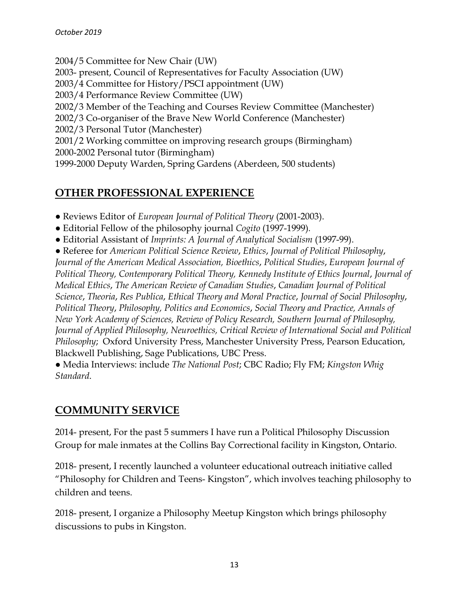2004/5 Committee for New Chair (UW) 2003- present, Council of Representatives for Faculty Association (UW) 2003/4 Committee for History/PSCI appointment (UW) 2003/4 Performance Review Committee (UW) 2002/3 Member of the Teaching and Courses Review Committee (Manchester) 2002/3 Co-organiser of the Brave New World Conference (Manchester) 2002/3 Personal Tutor (Manchester) 2001/2 Working committee on improving research groups (Birmingham) 2000-2002 Personal tutor (Birmingham) 1999-2000 Deputy Warden, Spring Gardens (Aberdeen, 500 students)

### **OTHER PROFESSIONAL EXPERIENCE**

- Reviews Editor of *European Journal of Political Theory* (2001-2003).
- Editorial Fellow of the philosophy journal *Cogito* (1997-1999)*.*
- Editorial Assistant of *Imprints: A Journal of Analytical Socialism* (1997-99).
- Referee for *American Political Science Review*, *Ethics*, *Journal of Political Philosophy*,

*Journal of the American Medical Association, Bioethics*, *Political Studies*, *European Journal of Political Theory, Contemporary Political Theory, Kennedy Institute of Ethics Journal*, *Journal of Medical Ethics*, *The American Review of Canadian Studies*, *Canadian Journal of Political Science*, *Theoria*, *Res Publica*, *Ethical Theory and Moral Practice*, *Journal of Social Philosophy*, *Political Theory*, *Philosophy, Politics and Economics*, *Social Theory and Practice, Annals of New York Academy of Sciences, Review of Policy Research, Southern Journal of Philosophy, Journal of Applied Philosophy, Neuroethics, Critical Review of International Social and Political Philosophy*; Oxford University Press, Manchester University Press, Pearson Education, Blackwell Publishing, Sage Publications, UBC Press.

● Media Interviews: include *The National Post*; CBC Radio; Fly FM; *Kingston Whig Standard*.

### **COMMUNITY SERVICE**

2014- present, For the past 5 summers I have run a Political Philosophy Discussion Group for male inmates at the Collins Bay Correctional facility in Kingston, Ontario.

2018- present, I recently launched a volunteer educational outreach initiative called "Philosophy for Children and Teens- Kingston", which involves teaching philosophy to children and teens.

2018- present, I organize a Philosophy Meetup Kingston which brings philosophy discussions to pubs in Kingston.